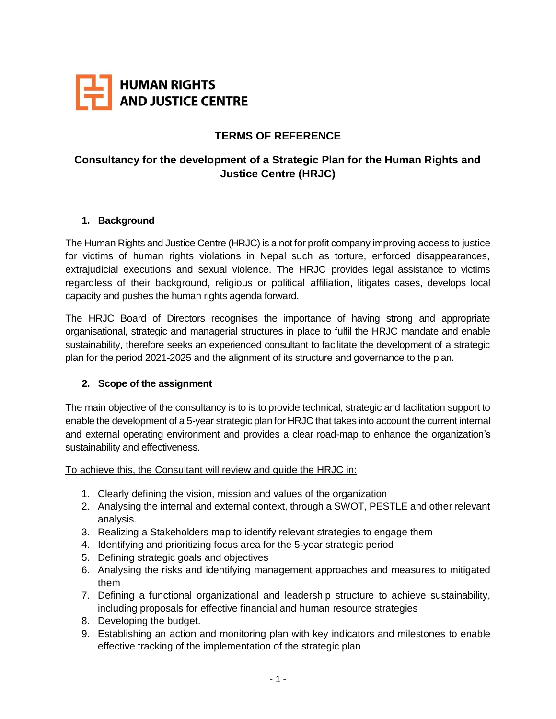

## **TERMS OF REFERENCE**

# **Consultancy for the development of a Strategic Plan for the Human Rights and Justice Centre (HRJC)**

#### **1. Background**

The Human Rights and Justice Centre (HRJC) is a not for profit company improving access to justice for victims of human rights violations in Nepal such as torture, enforced disappearances, extrajudicial executions and sexual violence. The HRJC provides legal assistance to victims regardless of their background, religious or political affiliation, litigates cases, develops local capacity and pushes the human rights agenda forward.

The HRJC Board of Directors recognises the importance of having strong and appropriate organisational, strategic and managerial structures in place to fulfil the HRJC mandate and enable sustainability, therefore seeks an experienced consultant to facilitate the development of a strategic plan for the period 2021-2025 and the alignment of its structure and governance to the plan.

#### **2. Scope of the assignment**

The main objective of the consultancy is to is to provide technical, strategic and facilitation support to enable the development of a 5-year strategic plan for HRJC that takes into account the current internal and external operating environment and provides a clear road-map to enhance the organization's sustainability and effectiveness.

To achieve this, the Consultant will review and guide the HRJC in:

- 1. Clearly defining the vision, mission and values of the organization
- 2. Analysing the internal and external context, through a SWOT, PESTLE and other relevant analysis.
- 3. Realizing a Stakeholders map to identify relevant strategies to engage them
- 4. Identifying and prioritizing focus area for the 5-year strategic period
- 5. Defining strategic goals and objectives
- 6. Analysing the risks and identifying management approaches and measures to mitigated them
- 7. Defining a functional organizational and leadership structure to achieve sustainability, including proposals for effective financial and human resource strategies
- 8. Developing the budget.
- 9. Establishing an action and monitoring plan with key indicators and milestones to enable effective tracking of the implementation of the strategic plan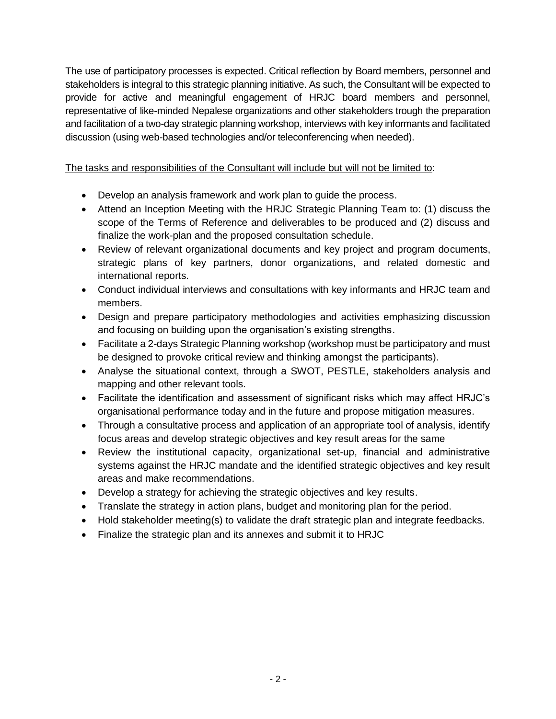The use of participatory processes is expected. Critical reflection by Board members, personnel and stakeholders is integral to this strategic planning initiative. As such, the Consultant will be expected to provide for active and meaningful engagement of HRJC board members and personnel, representative of like-minded Nepalese organizations and other stakeholders trough the preparation and facilitation of a two-day strategic planning workshop, interviews with key informants and facilitated discussion (using web-based technologies and/or teleconferencing when needed).

The tasks and responsibilities of the Consultant will include but will not be limited to:

- Develop an analysis framework and work plan to guide the process.
- Attend an Inception Meeting with the HRJC Strategic Planning Team to: (1) discuss the scope of the Terms of Reference and deliverables to be produced and (2) discuss and finalize the work-plan and the proposed consultation schedule.
- Review of relevant organizational documents and key project and program documents, strategic plans of key partners, donor organizations, and related domestic and international reports.
- Conduct individual interviews and consultations with key informants and HRJC team and members.
- Design and prepare participatory methodologies and activities emphasizing discussion and focusing on building upon the organisation's existing strengths.
- Facilitate a 2-days Strategic Planning workshop (workshop must be participatory and must be designed to provoke critical review and thinking amongst the participants).
- Analyse the situational context, through a SWOT, PESTLE, stakeholders analysis and mapping and other relevant tools.
- Facilitate the identification and assessment of significant risks which may affect HRJC's organisational performance today and in the future and propose mitigation measures.
- Through a consultative process and application of an appropriate tool of analysis, identify focus areas and develop strategic objectives and key result areas for the same
- Review the institutional capacity, organizational set-up, financial and administrative systems against the HRJC mandate and the identified strategic objectives and key result areas and make recommendations.
- Develop a strategy for achieving the strategic objectives and key results.
- Translate the strategy in action plans, budget and monitoring plan for the period.
- Hold stakeholder meeting(s) to validate the draft strategic plan and integrate feedbacks.
- Finalize the strategic plan and its annexes and submit it to HRJC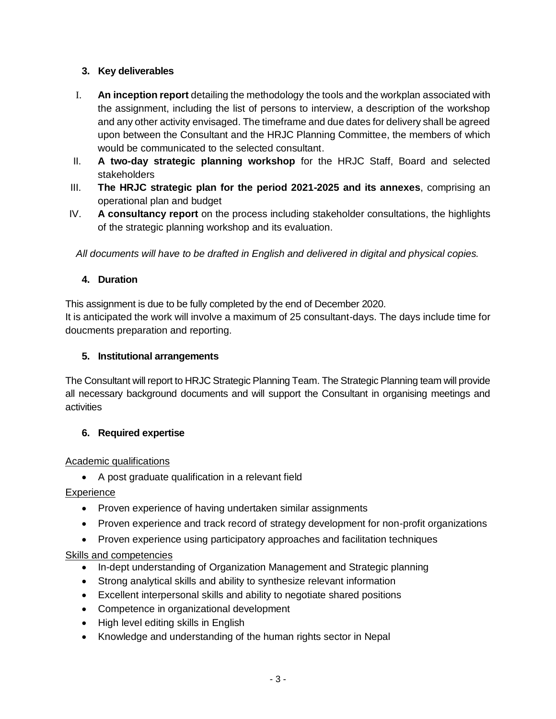### **3. Key deliverables**

- I. **An inception report** detailing the methodology the tools and the workplan associated with the assignment, including the list of persons to interview, a description of the workshop and any other activity envisaged. The timeframe and due dates for delivery shall be agreed upon between the Consultant and the HRJC Planning Committee, the members of which would be communicated to the selected consultant.
- II. **A two-day strategic planning workshop** for the HRJC Staff, Board and selected stakeholders
- III. **The HRJC strategic plan for the period 2021-2025 and its annexes**, comprising an operational plan and budget
- IV. **A consultancy report** on the process including stakeholder consultations, the highlights of the strategic planning workshop and its evaluation.

*All documents will have to be drafted in English and delivered in digital and physical copies.*

### **4. Duration**

This assignment is due to be fully completed by the end of December 2020.

It is anticipated the work will involve a maximum of 25 consultant-days. The days include time for doucments preparation and reporting.

### **5. Institutional arrangements**

The Consultant will report to HRJC Strategic Planning Team. The Strategic Planning team will provide all necessary background documents and will support the Consultant in organising meetings and activities

### **6. Required expertise**

### Academic qualifications

A post graduate qualification in a relevant field

## **Experience**

- Proven experience of having undertaken similar assignments
- Proven experience and track record of strategy development for non-profit organizations
- Proven experience using participatory approaches and facilitation techniques

### Skills and competencies

- In-dept understanding of Organization Management and Strategic planning
- Strong analytical skills and ability to synthesize relevant information
- Excellent interpersonal skills and ability to negotiate shared positions
- Competence in organizational development
- High level editing skills in English
- Knowledge and understanding of the human rights sector in Nepal